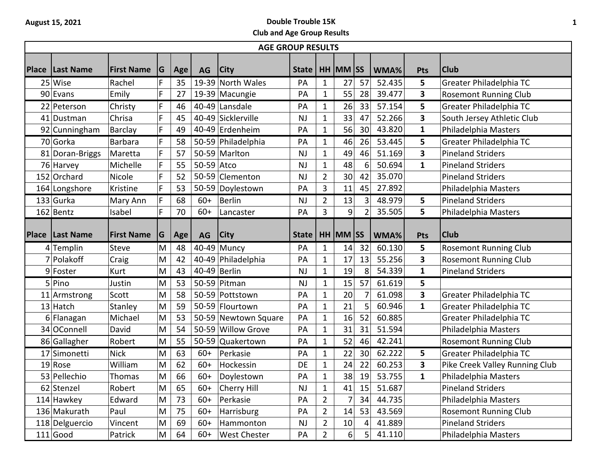## **August 15, 2021 Double Trouble 15K Club and Age Group Results**

| <b>AGE GROUP RESULTS</b> |                 |                   |   |     |            |                      |                      |                |          |                |        |                         |                                |
|--------------------------|-----------------|-------------------|---|-----|------------|----------------------|----------------------|----------------|----------|----------------|--------|-------------------------|--------------------------------|
| <b>Place</b>             | Last Name       | <b>First Name</b> | G | Age | AG         | <b>City</b>          | State   HH   MM   SS |                |          |                | WMA%   | <b>Pts</b>              | <b>Club</b>                    |
|                          | 25 Wise         | Rachel            | F | 35  |            | 19-39 North Wales    | PA                   | 1              | 27       | 57             | 52.435 | 5                       | Greater Philadelphia TC        |
|                          | 90 Evans        | Emily             | F | 27  |            | 19-39 Macungie       | PA                   | $\mathbf{1}$   | 55       | 28             | 39.477 | 3                       | <b>Rosemont Running Club</b>   |
|                          | 22 Peterson     | Christy           | F | 46  |            | 40-49 Lansdale       | PA                   | 1              | 26       | 33             | 57.154 | 5                       | Greater Philadelphia TC        |
|                          | 41 Dustman      | Chrisa            | F | 45  |            | 40-49 Sicklerville   | <b>NJ</b>            | $\mathbf{1}$   | 33       | 47             | 52.266 | 3                       | South Jersey Athletic Club     |
|                          | 92 Cunningham   | Barclay           | F | 49  |            | 40-49 Erdenheim      | PA                   | $\mathbf 1$    | 56       | 30             | 43.820 | $\mathbf{1}$            | Philadelphia Masters           |
|                          | 70 Gorka        | <b>Barbara</b>    | F | 58  |            | 50-59 Philadelphia   | PA                   | $\mathbf{1}$   | 46       | 26             | 53.445 | 5                       | Greater Philadelphia TC        |
|                          | 81 Doran-Briggs | Maretta           | F | 57  |            | 50-59 Marlton        | NJ                   | $\mathbf 1$    | 49       | 46             | 51.169 | $\overline{\mathbf{3}}$ | <b>Pineland Striders</b>       |
|                          | 76 Harvey       | Michelle          | F | 55  | 50-59 Atco |                      | <b>NJ</b>            | 1              | 48       | 6              | 50.694 | $\mathbf{1}$            | <b>Pineland Striders</b>       |
|                          | 152 Orchard     | Nicole            | F | 52  |            | 50-59 Clementon      | NJ                   | $\overline{2}$ | 30       | 42             | 35.070 |                         | <b>Pineland Striders</b>       |
|                          | 164 Longshore   | Kristine          | F | 53  | 50-59      | Doylestown           | PA                   | 3              | 11       | 45             | 27.892 |                         | Philadelphia Masters           |
|                          | 133 Gurka       | Mary Ann          | F | 68  | $60+$      | <b>Berlin</b>        | <b>NJ</b>            | $\overline{2}$ | 13       | 3              | 48.979 | 5                       | <b>Pineland Striders</b>       |
|                          | 162 Bentz       | Isabel            | F | 70  | $60+$      | Lancaster            | PA                   | 3              | 9        |                | 35.505 | 5                       | Philadelphia Masters           |
| <b>Place</b>             | Last Name       | <b>First Name</b> | G | Age | AG         | <b>City</b>          | <b>State</b>         |                | HH MM SS |                | WMA%   | Pts                     | <b>Club</b>                    |
|                          | 4 Templin       | Steve             | M | 48  |            | 40-49 Muncy          | PA                   | 1              | 14       | 32             | 60.130 | 5                       | <b>Rosemont Running Club</b>   |
|                          | 7 Polakoff      | Craig             | M | 42  |            | 40-49 Philadelphia   | PA                   | $\mathbf{1}$   | 17       | 13             | 55.256 | 3                       | <b>Rosemont Running Club</b>   |
|                          | 9 Foster        | Kurt              | M | 43  |            | 40-49 Berlin         | <b>NJ</b>            | $\mathbf 1$    | 19       | 8              | 54.339 | $\mathbf{1}$            | <b>Pineland Striders</b>       |
|                          | 5 Pino          | Justin            | M | 53  |            | 50-59 Pitman         | <b>NJ</b>            | $\mathbf{1}$   | 15       | 57             | 61.619 | 5                       |                                |
|                          | 11 Armstrong    | Scott             | M | 58  |            | 50-59 Pottstown      | PA                   | $\mathbf 1$    | 20       |                | 61.098 | 3                       | Greater Philadelphia TC        |
|                          | $13$ Hatch      | Stanley           | M | 59  |            | 50-59 Flourtown      | PA                   | $\mathbf 1$    | 21       | 5              | 60.946 | $\mathbf{1}$            | Greater Philadelphia TC        |
|                          | 6 Flanagan      | Michael           | M | 53  |            | 50-59 Newtown Square | PA                   | $\mathbf{1}$   | 16       | 52             | 60.885 |                         | Greater Philadelphia TC        |
|                          | 34 OConnell     | David             | M | 54  |            | 50-59 Willow Grove   | PA                   | 1              | 31       | 31             | 51.594 |                         | Philadelphia Masters           |
|                          | 86 Gallagher    | Robert            | M | 55  | 50-59      | Quakertown           | PA                   | $\mathbf{1}$   | 52       | 46             | 42.241 |                         | <b>Rosemont Running Club</b>   |
|                          | 17 Simonetti    | <b>Nick</b>       | M | 63  | $60+$      | Perkasie             | PA                   | $\mathbf{1}$   | 22       | 30             | 62.222 | 5                       | Greater Philadelphia TC        |
|                          | 19 Rose         | William           | M | 62  | $60+$      | Hockessin            | DE                   | $\mathbf 1$    | 24       | 22             | 60.253 | 3                       | Pike Creek Valley Running Club |
|                          | 53 Pellechio    | Thomas            | M | 66  | $60+$      | Doylestown           | PA                   | $\mathbf 1$    | 38       | 19             | 53.755 | $\mathbf{1}$            | Philadelphia Masters           |
|                          | 62 Stenzel      | Robert            | M | 65  | $60+$      | Cherry Hill          | NJ                   | $\mathbf 1$    | 41       | 15             | 51.687 |                         | <b>Pineland Striders</b>       |
|                          | 114 Hawkey      | Edward            | M | 73  | $60+$      | Perkasie             | PA                   | $\overline{2}$ | 7        | 34             | 44.735 |                         | Philadelphia Masters           |
|                          | 136 Makurath    | Paul              | M | 75  | $60+$      | Harrisburg           | PA                   | $\overline{2}$ | 14       | 53             | 43.569 |                         | <b>Rosemont Running Club</b>   |
|                          | 118 Delguercio  | Vincent           | M | 69  | $60+$      | Hammonton            | <b>NJ</b>            | $\overline{2}$ | 10       | 4              | 41.889 |                         | <b>Pineland Striders</b>       |
|                          | $111$ Good      | Patrick           | M | 64  | $60+$      | <b>West Chester</b>  | PA                   | 2              | 6        | 5 <sup>1</sup> | 41.110 |                         | Philadelphia Masters           |